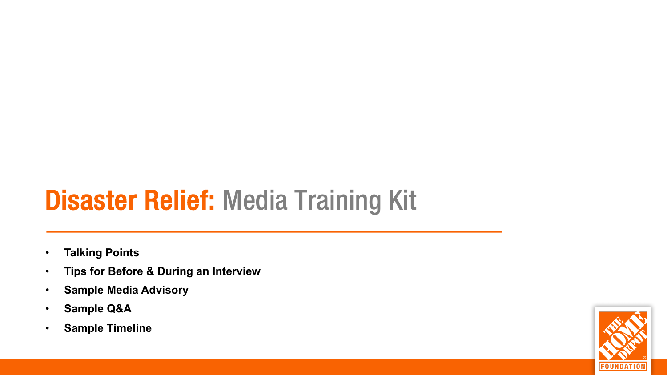# Disaster Relief: Media Training Kit

- **Talking Points**
- **Tips for Before & During an Interview**
- **Sample Media Advisory**
- **Sample Q&A**
- **Sample Timeline**

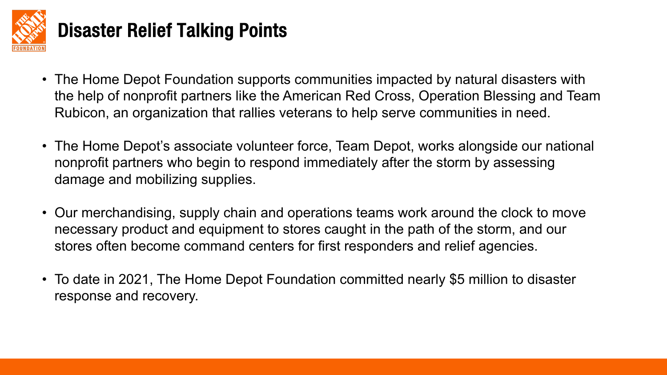

### Disaster Relief Talking Points

- The Home Depot Foundation supports communities impacted by natural disasters with the help of nonprofit partners like the American Red Cross, Operation Blessing and Team Rubicon, an organization that rallies veterans to help serve communities in need.
- The Home Depot's associate volunteer force, Team Depot, works alongside our national nonprofit partners who begin to respond immediately after the storm by assessing damage and mobilizing supplies.
- Our merchandising, supply chain and operations teams work around the clock to move necessary product and equipment to stores caught in the path of the storm, and our stores often become command centers for first responders and relief agencies.
- To date in 2021, The Home Depot Foundation committed nearly \$5 million to disaster response and recovery.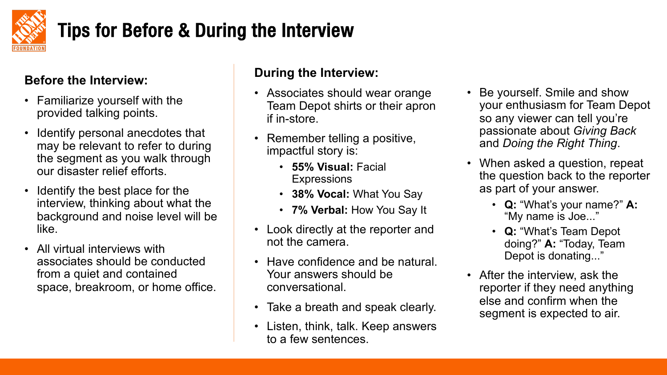

### Tips for Before & During the Interview

### **Before the Interview:**

- Familiarize yourself with the provided talking points.
- Identify personal anecdotes that may be relevant to refer to during the segment as you walk through our disaster relief efforts.
- Identify the best place for the interview, thinking about what the background and noise level will be like.
- All virtual interviews with associates should be conducted from a quiet and contained space, breakroom, or home office.

### **During the Interview:**

- Associates should wear orange Team Depot shirts or their apron if in-store.
- Remember telling a positive, impactful story is:
	- **55% Visual:** Facial **Expressions**
	- **38% Vocal:** What You Say
	- **7% Verbal:** How You Say It
- Look directly at the reporter and not the camera.
- Have confidence and be natural. Your answers should be conversational.
- Take a breath and speak clearly.
- Listen, think, talk. Keep answers to a few sentences.
- Be yourself. Smile and show your enthusiasm for Team Depot so any viewer can tell you're passionate about *Giving Back*  and *Doing the Right Thing*.
- When asked a question, repeat the question back to the reporter as part of your answer.
	- **Q:** "What's your name?" **A:**  "My name is Joe..."
	- **Q:** "What's Team Depot doing?" **A:** "Today, Team Depot is donating..."
- After the interview, ask the reporter if they need anything else and confirm when the segment is expected to air.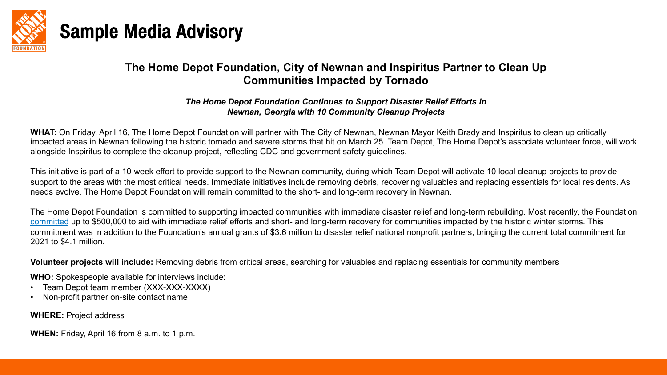

### Sample Media Advisory

#### **The Home Depot Foundation, City of Newnan and Inspirit Communities Impacted by Tornado**

#### *The Home Depot Foundation Continues to Support Disaster Relief Efforts in* **Newnan, Georgia with 10 Community Cleanup Projects**

WHAT: On Friday, April 16, The Home Depot Foundation will partner with The City of Newnan, Newnan May impacted areas in Newnan following the historic tornado and severe storms that hit on March 25. Team Dep alongside Inspiritus to complete the cleanup project, reflecting CDC and government safety guidelines.

This initiative is part of a 10-week effort to provide support to the Newnan community, during which Team Depot support to the areas with the most critical needs. Immediate initiatives include removing debris, recovering v needs evolve, The Home Depot Foundation will remain committed to the short- and long-term recovery in N

The Home Depot Foundation is committed to supporting impacted communities with immediate disaster reli committed up to \$500,000 to aid with immediate relief efforts and short- and long-term recovery for communities commitment was in addition to the Foundation's annual grants of \$3.6 million to disaster relief national nonp 2021 to \$4.1 million.

**Volunteer projects will include:** Removing debris from critical areas, searching for valuables and replacing

**WHO:** Spokespeople available for interviews include:

- Team Depot team member (XXX-XXX-XXXX)
- Non-profit partner on-site contact name

**WHERE:** Project address

**WHEN:** Friday, April 16 from 8 a.m. to 1 p.m.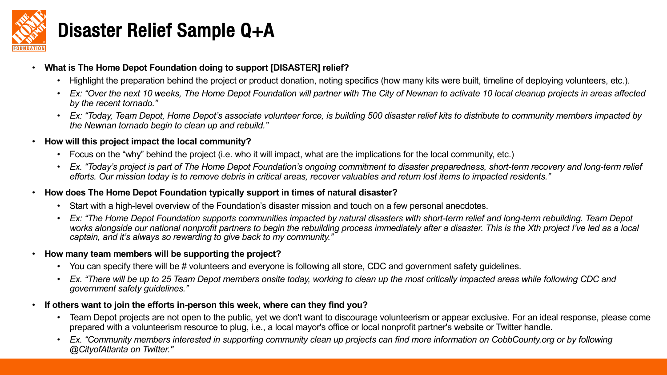

### Disaster Relief Sample Q+A

#### • **What is The Home Depot Foundation doing to support [DISASTER] relief?**

- Highlight the preparation behind the project or product donation, noting specifics (how many kits were built, timeline of deploying volunteers, etc.).
- *Ex: "Over the next 10 weeks, The Home Depot Foundation will partner with The City of Newnan to activate 10 local cleanup projects in areas affected by the recent tornado."*
- *Ex: "Today, Team Depot, Home Depot's associate volunteer force, is building 500 disaster relief kits to distribute to community members impacted by the Newnan tornado begin to clean up and rebuild."*
- **How will this project impact the local community?**
	- Focus on the "why" behind the project (i.e. who it will impact, what are the implications for the local community, etc.)
	- *Ex. "Today's project is part of The Home Depot Foundation's ongoing commitment to disaster preparedness, short-term recovery and long-term relief efforts. Our mission today is to remove debris in critical areas, recover valuables and return lost items to impacted residents."*
- **How does The Home Depot Foundation typically support in times of natural disaster?**
	- Start with a high-level overview of the Foundation's disaster mission and touch on a few personal anecdotes.
	- *Ex: "The Home Depot Foundation supports communities impacted by natural disasters with short-term relief and long-term rebuilding. Team Depot works alongside our national nonprofit partners to begin the rebuilding process immediately after a disaster. This is the Xth project I've led as a local captain, and it's always so rewarding to give back to my community."*
- **How many team members will be supporting the project?** 
	- You can specify there will be # volunteers and everyone is following all store, CDC and government safety guidelines.
	- *Ex. "There will be up to 25 Team Depot members onsite today, working to clean up the most critically impacted areas while following CDC and government safety guidelines."*
- **If others want to join the efforts in-person this week, where can they find you?** 
	- Team Depot projects are not open to the public, yet we don't want to discourage volunteerism or appear exclusive. For an ideal response, please come prepared with a volunteerism resource to plug, i.e., a local mayor's office or local nonprofit partner's website or Twitter handle.
	- *Ex. "Community members interested in supporting community clean up projects can find more information on CobbCounty.org or by following @CityofAtlanta on Twitter."*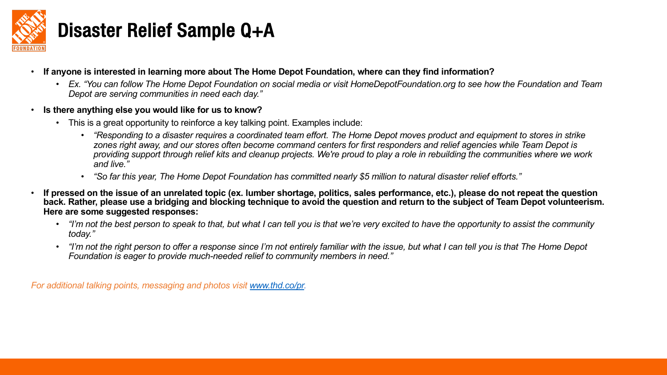

# Disaster Relief Sample Q+A

- If anyone is interested in learning more about The Home Depot Foundation, where can they find the interested in the inter-
	- *Ex. "You can follow The Home Depot Foundation on social media or visit HomeDepotFoundation.org to see how the Foundation and Team Depot are serving communities in need each day."*
- **Is there anything else you would like for us to kn[ow?](http://www.thd.co/pr)**
	- This is a great opportunity to reinforce a key talking point. Examples include:
		- *"Responding to a disaster requires a coordinated team effort. The Home Depot moves product and equipment to stores in strike zones right away, and our stores often become command centers for first responders* and *relief agencies* and *zones* is all the team of the team of the team of the team of the team of team  $\epsilon$ *providing support through relief kits and cleanup projects. We're proud to play a role in rebuilding the communities where we work and live."*
		- <sup>"</sup> So far this year, The Home Depot Foundation has committed nearly \$5 million to natural 4
- If pressed on the issue of an unrelated topic (ex. lumber shortage, politics, sales performanc back. Rather, please use a bridging and blocking technique to avoid the question and return **Here are some suggested responses:**
	- *"I'm not the best person to speak to that, but what I can tell you is that we're very excited to have the opportunity to a the monthe to have the best person to speak to the vindity can tell you is that we're very excited today."*
	- *"I'm not the right person to offer a response since I'm not entirely familiar with the issue, but what I can tell you is that The Home Depot Foundation is eager to provide much-needed relief to community members in need."*

*For additional talking points, messaging and photos visit www.thd.co/pr.*